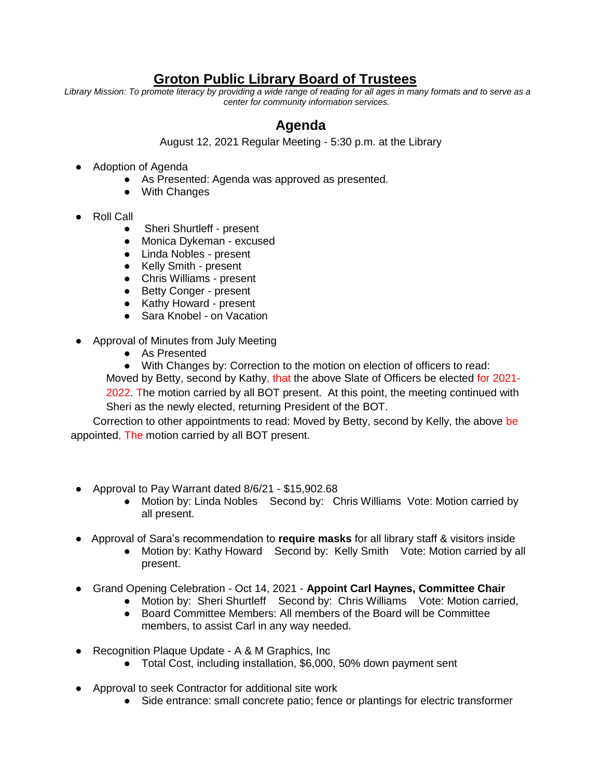## **Groton Public Library Board of Trustees**

*Library Mission: To promote literacy by providing a wide range of reading for all ages in many formats and to serve as a center for community information services.* 

## **Agenda**

August 12, 2021 Regular Meeting - 5:30 p.m. at the Library

- Adoption of Agenda
	- As Presented: Agenda was approved as presented.
	- With Changes
- Roll Call
	- **Sheri Shurtleff present**
	- Monica Dykeman excused
	- Linda Nobles present
	- Kelly Smith present
	- Chris Williams present
	- Betty Conger present
	- Kathy Howard present
	- Sara Knobel on Vacation
- Approval of Minutes from July Meeting
	- As Presented
	- With Changes by: Correction to the motion on election of officers to read:

Moved by Betty, second by Kathy, that the above Slate of Officers be elected for 2021- 2022. The motion carried by all BOT present. At this point, the meeting continued with Sheri as the newly elected, returning President of the BOT.

Correction to other appointments to read: Moved by Betty, second by Kelly, the above be appointed, The motion carried by all BOT present.

- Approval to Pay Warrant dated 8/6/21 \$15,902.68
	- Motion by: Linda Nobles Second by: Chris Williams Vote: Motion carried by all present.
- Approval of Sara's recommendation to **require masks** for all library staff & visitors inside
	- Motion by: Kathy Howard Second by: Kelly Smith Vote: Motion carried by all present.
- Grand Opening Celebration Oct 14, 2021 **Appoint Carl Haynes, Committee Chair**
	- Motion by: Sheri Shurtleff Second by: Chris Williams Vote: Motion carried,
	- Board Committee Members: All members of the Board will be Committee members, to assist Carl in any way needed.
- Recognition Plaque Update A & M Graphics, Inc
	- Total Cost, including installation, \$6,000, 50% down payment sent
- Approval to seek Contractor for additional site work
	- Side entrance: small concrete patio; fence or plantings for electric transformer